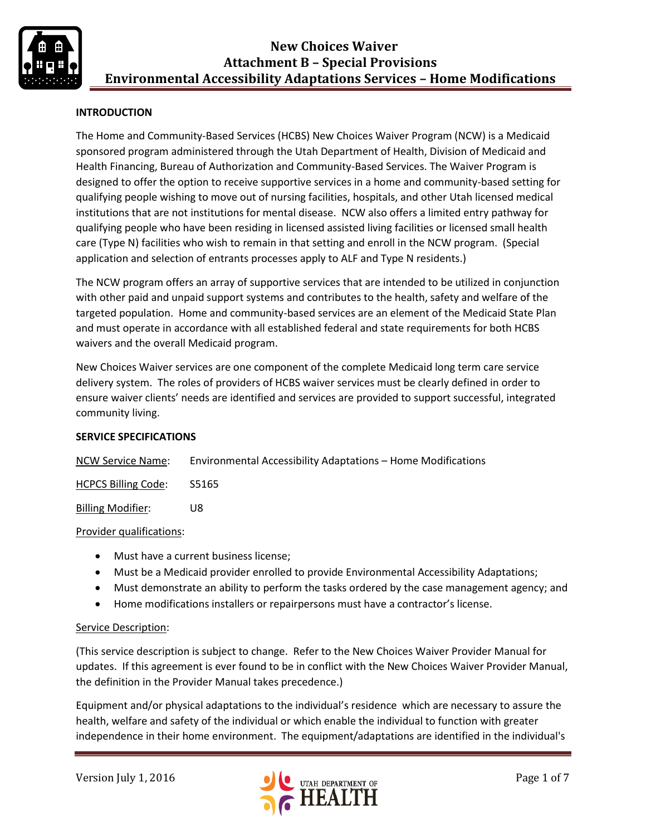

### **INTRODUCTION**

The Home and Community-Based Services (HCBS) New Choices Waiver Program (NCW) is a Medicaid sponsored program administered through the Utah Department of Health, Division of Medicaid and Health Financing, Bureau of Authorization and Community-Based Services. The Waiver Program is designed to offer the option to receive supportive services in a home and community-based setting for qualifying people wishing to move out of nursing facilities, hospitals, and other Utah licensed medical institutions that are not institutions for mental disease. NCW also offers a limited entry pathway for qualifying people who have been residing in licensed assisted living facilities or licensed small health care (Type N) facilities who wish to remain in that setting and enroll in the NCW program. (Special application and selection of entrants processes apply to ALF and Type N residents.)

The NCW program offers an array of supportive services that are intended to be utilized in conjunction with other paid and unpaid support systems and contributes to the health, safety and welfare of the targeted population. Home and community-based services are an element of the Medicaid State Plan and must operate in accordance with all established federal and state requirements for both HCBS waivers and the overall Medicaid program.

New Choices Waiver services are one component of the complete Medicaid long term care service delivery system. The roles of providers of HCBS waiver services must be clearly defined in order to ensure waiver clients' needs are identified and services are provided to support successful, integrated community living.

#### **SERVICE SPECIFICATIONS**

| <b>NCW Service Name:</b> | Environmental Accessibility Adaptations - Home Modifications |
|--------------------------|--------------------------------------------------------------|
|                          |                                                              |

HCPCS Billing Code: S5165

Billing Modifier: U8

#### Provider qualifications:

- Must have a current business license;
- Must be a Medicaid provider enrolled to provide Environmental Accessibility Adaptations;
- Must demonstrate an ability to perform the tasks ordered by the case management agency; and
- Home modifications installers or repairpersons must have a contractor's license.

#### Service Description:

(This service description is subject to change. Refer to the New Choices Waiver Provider Manual for updates. If this agreement is ever found to be in conflict with the New Choices Waiver Provider Manual, the definition in the Provider Manual takes precedence.)

Equipment and/or physical adaptations to the individual's residence which are necessary to assure the health, welfare and safety of the individual or which enable the individual to function with greater independence in their home environment. The equipment/adaptations are identified in the individual's

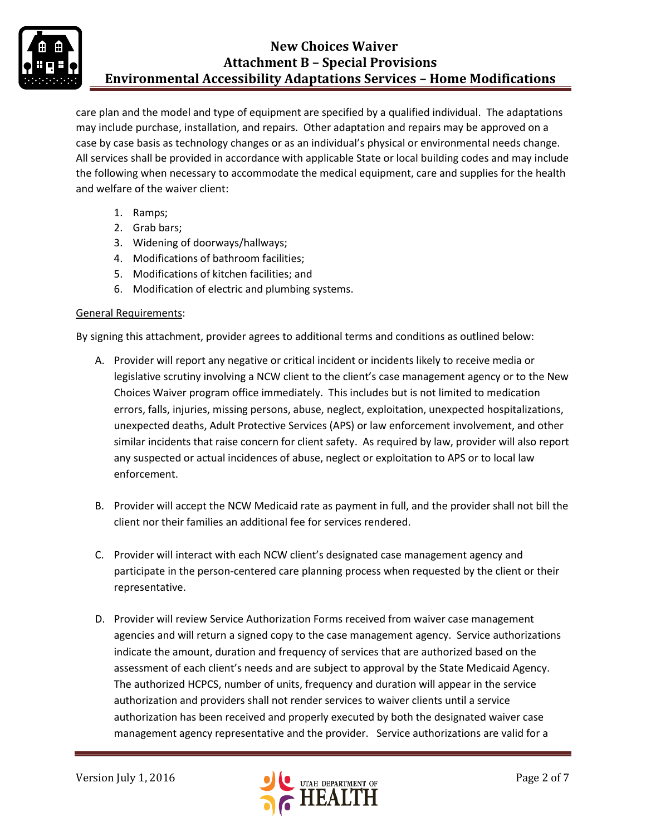

care plan and the model and type of equipment are specified by a qualified individual. The adaptations may include purchase, installation, and repairs. Other adaptation and repairs may be approved on a case by case basis as technology changes or as an individual's physical or environmental needs change. All services shall be provided in accordance with applicable State or local building codes and may include the following when necessary to accommodate the medical equipment, care and supplies for the health and welfare of the waiver client:

- 1. Ramps;
- 2. Grab bars;
- 3. Widening of doorways/hallways;
- 4. Modifications of bathroom facilities;
- 5. Modifications of kitchen facilities; and
- 6. Modification of electric and plumbing systems.

#### General Requirements:

By signing this attachment, provider agrees to additional terms and conditions as outlined below:

- A. Provider will report any negative or critical incident or incidents likely to receive media or legislative scrutiny involving a NCW client to the client's case management agency or to the New Choices Waiver program office immediately. This includes but is not limited to medication errors, falls, injuries, missing persons, abuse, neglect, exploitation, unexpected hospitalizations, unexpected deaths, Adult Protective Services (APS) or law enforcement involvement, and other similar incidents that raise concern for client safety. As required by law, provider will also report any suspected or actual incidences of abuse, neglect or exploitation to APS or to local law enforcement.
- B. Provider will accept the NCW Medicaid rate as payment in full, and the provider shall not bill the client nor their families an additional fee for services rendered.
- C. Provider will interact with each NCW client's designated case management agency and participate in the person-centered care planning process when requested by the client or their representative.
- D. Provider will review Service Authorization Forms received from waiver case management agencies and will return a signed copy to the case management agency. Service authorizations indicate the amount, duration and frequency of services that are authorized based on the assessment of each client's needs and are subject to approval by the State Medicaid Agency. The authorized HCPCS, number of units, frequency and duration will appear in the service authorization and providers shall not render services to waiver clients until a service authorization has been received and properly executed by both the designated waiver case management agency representative and the provider. Service authorizations are valid for a

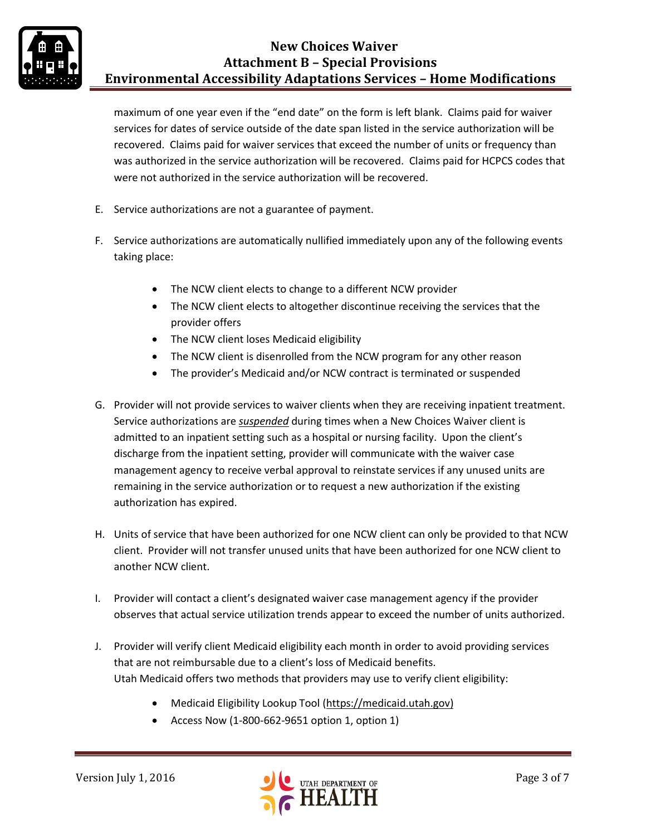

maximum of one year even if the "end date" on the form is left blank. Claims paid for waiver services for dates of service outside of the date span listed in the service authorization will be recovered. Claims paid for waiver services that exceed the number of units or frequency than was authorized in the service authorization will be recovered. Claims paid for HCPCS codes that were not authorized in the service authorization will be recovered.

- E. Service authorizations are not a guarantee of payment.
- F. Service authorizations are automatically nullified immediately upon any of the following events taking place:
	- The NCW client elects to change to a different NCW provider
	- The NCW client elects to altogether discontinue receiving the services that the provider offers
	- The NCW client loses Medicaid eligibility
	- The NCW client is disenrolled from the NCW program for any other reason
	- The provider's Medicaid and/or NCW contract is terminated or suspended
- G. Provider will not provide services to waiver clients when they are receiving inpatient treatment. Service authorizations are *suspended* during times when a New Choices Waiver client is admitted to an inpatient setting such as a hospital or nursing facility. Upon the client's discharge from the inpatient setting, provider will communicate with the waiver case management agency to receive verbal approval to reinstate services if any unused units are remaining in the service authorization or to request a new authorization if the existing authorization has expired.
- H. Units of service that have been authorized for one NCW client can only be provided to that NCW client. Provider will not transfer unused units that have been authorized for one NCW client to another NCW client.
- I. Provider will contact a client's designated waiver case management agency if the provider observes that actual service utilization trends appear to exceed the number of units authorized.
- J. Provider will verify client Medicaid eligibility each month in order to avoid providing services that are not reimbursable due to a client's loss of Medicaid benefits. Utah Medicaid offers two methods that providers may use to verify client eligibility:
	- Medicaid Eligibility Lookup Tool [\(https://medicaid.utah.gov\)](https://medicaid.utah.gov/)
	- Access Now (1-800-662-9651 option 1, option 1)

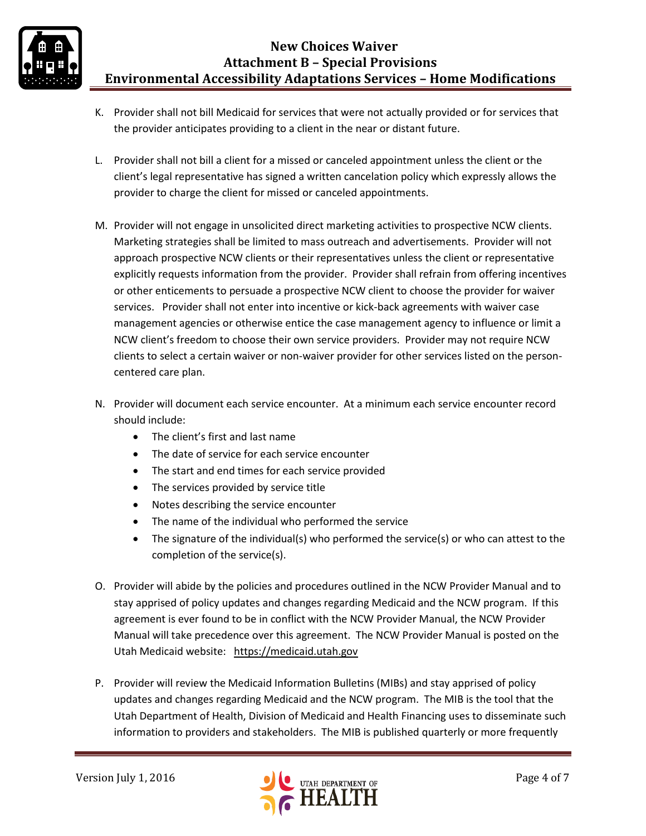- K. Provider shall not bill Medicaid for services that were not actually provided or for services that the provider anticipates providing to a client in the near or distant future.
- L. Provider shall not bill a client for a missed or canceled appointment unless the client or the client's legal representative has signed a written cancelation policy which expressly allows the provider to charge the client for missed or canceled appointments.
- M. Provider will not engage in unsolicited direct marketing activities to prospective NCW clients. Marketing strategies shall be limited to mass outreach and advertisements. Provider will not approach prospective NCW clients or their representatives unless the client or representative explicitly requests information from the provider. Provider shall refrain from offering incentives or other enticements to persuade a prospective NCW client to choose the provider for waiver services. Provider shall not enter into incentive or kick-back agreements with waiver case management agencies or otherwise entice the case management agency to influence or limit a NCW client's freedom to choose their own service providers. Provider may not require NCW clients to select a certain waiver or non-waiver provider for other services listed on the personcentered care plan.
- N. Provider will document each service encounter. At a minimum each service encounter record should include:
	- The client's first and last name
	- The date of service for each service encounter
	- The start and end times for each service provided
	- The services provided by service title
	- Notes describing the service encounter
	- The name of the individual who performed the service
	- The signature of the individual(s) who performed the service(s) or who can attest to the completion of the service(s).
- O. Provider will abide by the policies and procedures outlined in the NCW Provider Manual and to stay apprised of policy updates and changes regarding Medicaid and the NCW program. If this agreement is ever found to be in conflict with the NCW Provider Manual, the NCW Provider Manual will take precedence over this agreement. The NCW Provider Manual is posted on the Utah Medicaid website: [https://medicaid.utah.gov](https://medicaid.utah.gov/)
- P. Provider will review the Medicaid Information Bulletins (MIBs) and stay apprised of policy updates and changes regarding Medicaid and the NCW program. The MIB is the tool that the Utah Department of Health, Division of Medicaid and Health Financing uses to disseminate such information to providers and stakeholders. The MIB is published quarterly or more frequently

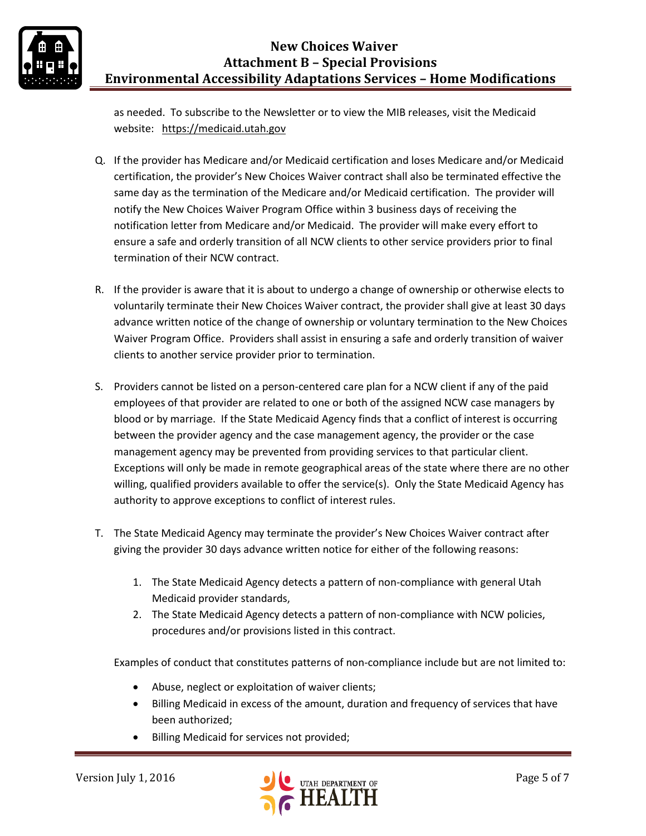

as needed. To subscribe to the Newsletter or to view the MIB releases, visit the Medicaid website: [https://medicaid.utah.gov](https://medicaid.utah.gov/)

- Q. If the provider has Medicare and/or Medicaid certification and loses Medicare and/or Medicaid certification, the provider's New Choices Waiver contract shall also be terminated effective the same day as the termination of the Medicare and/or Medicaid certification. The provider will notify the New Choices Waiver Program Office within 3 business days of receiving the notification letter from Medicare and/or Medicaid. The provider will make every effort to ensure a safe and orderly transition of all NCW clients to other service providers prior to final termination of their NCW contract.
- R. If the provider is aware that it is about to undergo a change of ownership or otherwise elects to voluntarily terminate their New Choices Waiver contract, the provider shall give at least 30 days advance written notice of the change of ownership or voluntary termination to the New Choices Waiver Program Office. Providers shall assist in ensuring a safe and orderly transition of waiver clients to another service provider prior to termination.
- S. Providers cannot be listed on a person-centered care plan for a NCW client if any of the paid employees of that provider are related to one or both of the assigned NCW case managers by blood or by marriage. If the State Medicaid Agency finds that a conflict of interest is occurring between the provider agency and the case management agency, the provider or the case management agency may be prevented from providing services to that particular client. Exceptions will only be made in remote geographical areas of the state where there are no other willing, qualified providers available to offer the service(s). Only the State Medicaid Agency has authority to approve exceptions to conflict of interest rules.
- T. The State Medicaid Agency may terminate the provider's New Choices Waiver contract after giving the provider 30 days advance written notice for either of the following reasons:
	- 1. The State Medicaid Agency detects a pattern of non-compliance with general Utah Medicaid provider standards,
	- 2. The State Medicaid Agency detects a pattern of non-compliance with NCW policies, procedures and/or provisions listed in this contract.

Examples of conduct that constitutes patterns of non-compliance include but are not limited to:

- Abuse, neglect or exploitation of waiver clients;
- Billing Medicaid in excess of the amount, duration and frequency of services that have been authorized;
- Billing Medicaid for services not provided;

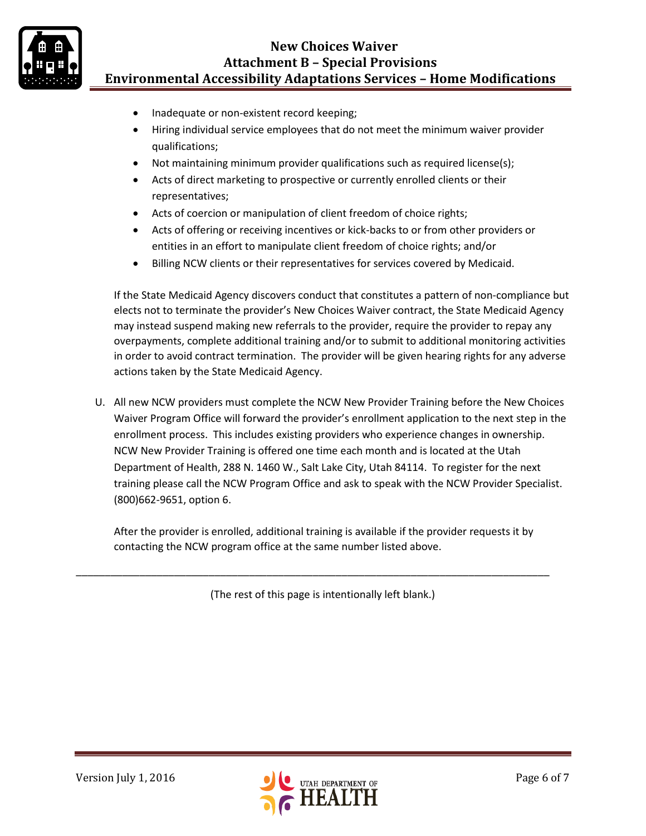

- Inadequate or non-existent record keeping;
- Hiring individual service employees that do not meet the minimum waiver provider qualifications;
- Not maintaining minimum provider qualifications such as required license(s);
- Acts of direct marketing to prospective or currently enrolled clients or their representatives;
- Acts of coercion or manipulation of client freedom of choice rights;
- Acts of offering or receiving incentives or kick-backs to or from other providers or entities in an effort to manipulate client freedom of choice rights; and/or
- Billing NCW clients or their representatives for services covered by Medicaid.

If the State Medicaid Agency discovers conduct that constitutes a pattern of non-compliance but elects not to terminate the provider's New Choices Waiver contract, the State Medicaid Agency may instead suspend making new referrals to the provider, require the provider to repay any overpayments, complete additional training and/or to submit to additional monitoring activities in order to avoid contract termination. The provider will be given hearing rights for any adverse actions taken by the State Medicaid Agency.

U. All new NCW providers must complete the NCW New Provider Training before the New Choices Waiver Program Office will forward the provider's enrollment application to the next step in the enrollment process. This includes existing providers who experience changes in ownership. NCW New Provider Training is offered one time each month and is located at the Utah Department of Health, 288 N. 1460 W., Salt Lake City, Utah 84114. To register for the next training please call the NCW Program Office and ask to speak with the NCW Provider Specialist. (800)662-9651, option 6.

After the provider is enrolled, additional training is available if the provider requests it by contacting the NCW program office at the same number listed above.

(The rest of this page is intentionally left blank.)

\_\_\_\_\_\_\_\_\_\_\_\_\_\_\_\_\_\_\_\_\_\_\_\_\_\_\_\_\_\_\_\_\_\_\_\_\_\_\_\_\_\_\_\_\_\_\_\_\_\_\_\_\_\_\_\_\_\_\_\_\_\_\_\_\_\_\_\_\_\_\_\_\_\_\_\_\_\_\_\_\_\_